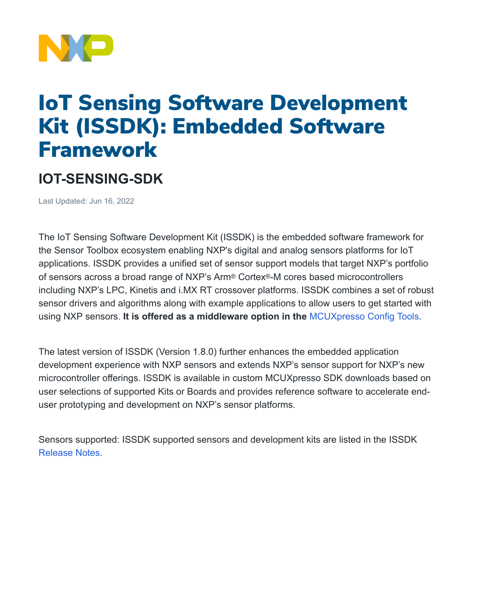

## IoT Sensing Software Development Kit (ISSDK): Embedded Software **Framework**

## **IOT-SENSING-SDK**

Last Updated: Jun 16, 2022

The IoT Sensing Software Development Kit (ISSDK) is the embedded software framework for the Sensor Toolbox ecosystem enabling NXP's digital and analog sensors platforms for IoT applications. ISSDK provides a unified set of sensor support models that target NXP's portfolio of sensors across a broad range of NXP's Arm® Cortex®-M cores based microcontrollers including NXP's LPC, Kinetis and i.MX RT crossover platforms. ISSDK combines a set of robust sensor drivers and algorithms along with example applications to allow users to get started with using NXP sensors. **It is offered as a middleware option in the** [MCUXpresso](http://mcuxpresso.nxp.com/) Config Tools.

The latest version of ISSDK (Version 1.8.0) further enhances the embedded application development experience with NXP sensors and extends NXP's sensor support for NXP's new microcontroller offerings. ISSDK is available in custom MCUXpresso SDK downloads based on user selections of supported Kits or Boards and provides reference software to accelerate enduser prototyping and development on NXP's sensor platforms.

Sensors supported: ISSDK supported sensors and development kits are listed in the ISSDK [Release Notes](https://www.nxp.com/docs/en/release-note/RN00010.pdf#page=6).